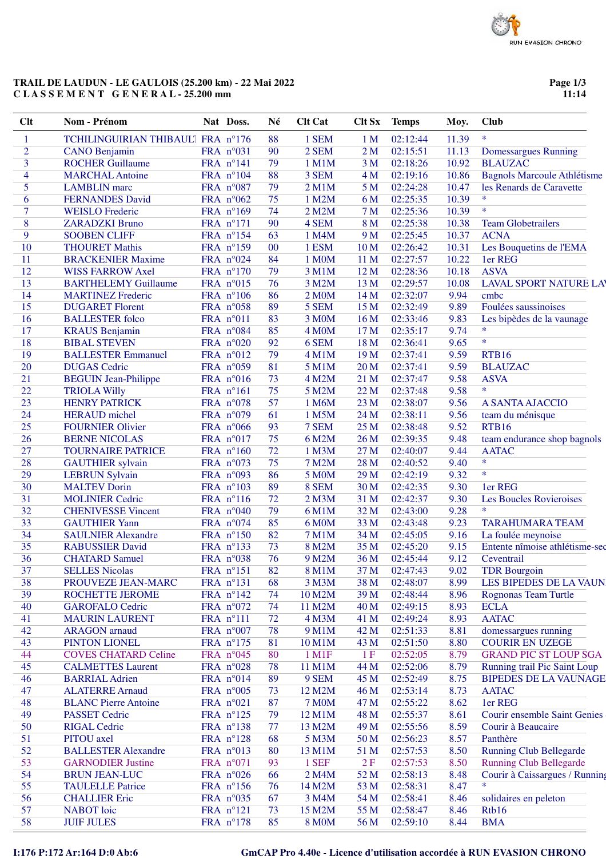# **TRAIL DE LAUDUN - LE GAULOIS (25.200 km) - 22 Mai 2022 C L A S S E M E N T G E N E R A L - 25.200 mm**

**Page 1/3 11:14**

| Clt            | Nom - Prénom                      | Nat Doss.              | Né     | <b>Clt Cat</b>     | Clt Sx          | <b>Temps</b> | Moy.  | <b>Club</b>                         |
|----------------|-----------------------------------|------------------------|--------|--------------------|-----------------|--------------|-------|-------------------------------------|
| 1              | TCHILINGUIRIAN THIBAULI FRA n°176 |                        | 88     | 1 SEM              | 1 <sub>M</sub>  | 02:12:44     | 11.39 | $\ast$                              |
| $\overline{c}$ | <b>CANO</b> Benjamin              | FRA n°031              | 90     | 2 SEM              | 2 <sub>M</sub>  | 02:15:51     | 11.13 | Domessargues Running                |
| 3              | <b>ROCHER Guillaume</b>           | FRA $n^{\circ}141$     | 79     | 1 M1M              | 3 <sub>M</sub>  | 02:18:26     | 10.92 | <b>BLAUZAC</b>                      |
| 4              | <b>MARCHAL Antoine</b>            | FRA n°104              | 88     | 3 SEM              | 4 <sub>M</sub>  | 02:19:16     | 10.86 | <b>Bagnols Marcoule Athlétisme</b>  |
| 5              | <b>LAMBLIN</b> marc               | FRA $n^{\circ}087$     | 79     | 2 M1M              | 5 M             | 02:24:28     | 10.47 | les Renards de Caravette            |
| 6              | <b>FERNANDES David</b>            | FRA $n^{\circ}062$     | 75     | 1 M2M              | 6 M             | 02:25:35     | 10.39 | $\ast$                              |
| 7              | <b>WEISLO</b> Frederic            | FRA n°169              | 74     | 2 M2M              | 7 M             | 02:25:36     | 10.39 | $\ast$                              |
| 8              | <b>ZARADZKI Bruno</b>             | FRA n°171              | 90     | 4 SEM              | 8 M             | 02:25:38     | 10.38 | <b>Team Globetrailers</b>           |
| 9              | <b>SOOBEN CLIFF</b>               | FRA n°154              | 63     | 1 M4M              | 9 M             | 02:25:45     | 10.37 | <b>ACNA</b>                         |
| 10             | <b>THOURET Mathis</b>             | FRA n°159              | $00\,$ | 1 ESM              | 10 <sub>M</sub> | 02:26:42     | 10.31 | Les Bouquetins de l'EMA             |
| 11             | <b>BRACKENIER Maxime</b>          | FRA n°024              | 84     | 1 M0M              | 11 M            | 02:27:57     | 10.22 | 1er REG                             |
| 12             | <b>WISS FARROW Axel</b>           | FRA n°170              | 79     | 3 M1M              | 12 <sub>M</sub> | 02:28:36     | 10.18 | <b>ASVA</b>                         |
| 13             | <b>BARTHELEMY Guillaume</b>       | FRA n°015              | 76     | 3 M2M              | 13 M            | 02:29:57     | 10.08 | <b>LAVAL SPORT NATURE LAY</b>       |
| 14             | <b>MARTINEZ Frederic</b>          | FRA $n^{\circ}106$     | 86     | 2 M <sub>0</sub> M | 14 <sub>M</sub> | 02:32:07     | 9.94  | cmbc                                |
| 15             | <b>DUGARET Florent</b>            | FRA n°058              | 89     | 5 SEM              | 15 <sub>M</sub> | 02:32:49     | 9.89  | Foulées saussinoises                |
| 16             | <b>BALLESTER</b> folco            | FRA n°011              | 83     | 3 M0M              | 16 <sub>M</sub> | 02:33:46     | 9.83  | Les bipèdes de la vaunage           |
| 17             | <b>KRAUS</b> Benjamin             | FRA n°084              | 85     | 4 M <sub>O</sub> M | 17 <sub>M</sub> | 02:35:17     | 9.74  | $\ast$                              |
| 18             | <b>BIBAL STEVEN</b>               | FRA $n^{\circ}020$     | 92     | 6 SEM              | 18 M            | 02:36:41     | 9.65  | $\ast$                              |
| 19             | <b>BALLESTER Emmanuel</b>         | FRA n°012              | 79     | 4 M1M              | 19 <sub>M</sub> | 02:37:41     | 9.59  | <b>RTB16</b>                        |
| 20             | <b>DUGAS</b> Cedric               | FRA n°059              | 81     | 5 M1M              | 20 <sub>M</sub> | 02:37:41     | 9.59  | <b>BLAUZAC</b>                      |
| 21             | <b>BEGUIN</b> Jean-Philippe       | FRA n°016              | 73     | 4 M2M              | 21 M            | 02:37:47     | 9.58  | <b>ASVA</b>                         |
| 22             | <b>TRIOLA Willy</b>               | FRA n°161              | 75     | 5 M2M              | 22 <sub>M</sub> | 02:37:48     | 9.58  | $\ast$                              |
| 23             | <b>HENRY PATRICK</b>              | FRA n°078              | 57     | 1 M6M              | 23 M            | 02:38:07     | 9.56  | A SANTA AJACCIO                     |
| 24             | <b>HERAUD</b> michel              | FRA n°079              | 61     | 1 M5M              | 24 <sub>M</sub> | 02:38:11     | 9.56  | team du ménisque                    |
| 25             | <b>FOURNIER Olivier</b>           | FRA n°066              | 93     | 7 SEM              | 25 M            | 02:38:48     | 9.52  | <b>RTB16</b>                        |
| 26             | <b>BERNE NICOLAS</b>              | FRA n°017              | 75     | 6 M2M              | 26 M            | 02:39:35     | 9.48  | team endurance shop bagnols         |
| 27             | <b>TOURNAIRE PATRICE</b>          | FRA n°160              | 72     | 1 M3M              | 27 M            | 02:40:07     | 9.44  | <b>AATAC</b>                        |
| 28             | <b>GAUTHIER</b> sylvain           | FRA n°073              | 75     | 7 M2M              | 28 M            | 02:40:52     | 9.40  | $\ast$                              |
| 29             | <b>LEBRUN Sylvain</b>             | FRA n°093              | 86     | 5 M0M              | 29 M            | 02:42:19     | 9.32  | $\ast$                              |
| 30             | <b>MALTEV Dorin</b>               | FRA n°103              | 89     | 8 SEM              | 30 <sub>M</sub> | 02:42:35     | 9.30  | 1er REG                             |
| 31             | <b>MOLINIER Cedric</b>            | FRA $n^{\circ}116$     | 72     | $2$ M $3M$         | 31 M            | 02:42:37     | 9.30  |                                     |
| 32             | <b>CHENIVESSE Vincent</b>         | FRA $n^{\circ}040$     | 79     | 6 M1M              | 32 M            | 02:43:00     | 9.28  | Les Boucles Rovieroises<br>$\ast$   |
| 33             | <b>GAUTHIER Yann</b>              | FRA $n^{\circ}074$     | 85     | 6 M0M              | 33 M            | 02:43:48     | 9.23  | <b>TARAHUMARA TEAM</b>              |
| 34             | <b>SAULNIER Alexandre</b>         | FRA n°150              | 82     | 7 M1M              | 34 M            | 02:45:05     | 9.16  | La foulée meynoise                  |
| 35             | <b>RABUSSIER David</b>            | FRA n°133              | 73     | 8 M2M              | 35 M            | 02:45:20     | 9.15  | Entente nîmoise athlétisme-sec      |
| 36             | <b>CHATARD Samuel</b>             |                        | 76     | 9 M2M              |                 | 02:45:44     | 9.12  |                                     |
|                |                                   | FRA n°038<br>FRA n°151 | 82     | 8 M1M              | 36 M            |              |       | Ceventrail<br><b>TDR</b> Bourgoin   |
| 37             | <b>SELLES Nicolas</b>             |                        |        |                    | 37 M            | 02:47:43     | 9.02  |                                     |
| 38             | PROUVEZE JEAN-MARC                | FRA n°131              | 68     | 3 M3M              | 38 M            | 02:48:07     | 8.99  | LES BIPEDES DE LA VAUN              |
| 39             | <b>ROCHETTE JEROME</b>            | FRA n°142              | 74     | 10 M2M             | 39 M            | 02:48:44     | 8.96  | <b>Rognonas Team Turtle</b>         |
| 40             | <b>GAROFALO Cedric</b>            | FRA $n^{\circ}072$     | 74     | 11 M2M             | 40 M            | 02:49:15     | 8.93  | <b>ECLA</b>                         |
| 41             | <b>MAURIN LAURENT</b>             | FRA n°111              | 72     | 4 M3M              | 41 M            | 02:49:24     | 8.93  | <b>AATAC</b>                        |
| 42             | <b>ARAGON</b> arnaud              | FRA $n^{\circ}007$     | 78     | 9 M1M              | 42 M            | 02:51:33     | 8.81  | domessargues running                |
| 43             | PINTON LIONEL                     | FRA n°175              | 81     | 10 M1M             | 43 M            | 02:51:50     | 8.80  | <b>COURIR EN UZEGE</b>              |
| 44             | <b>COVES CHATARD Celine</b>       | FRA n°045              | 80     | $1$ M $1$ F        | 1F              | 02:52:05     | 8.79  | <b>GRAND PIC ST LOUP SGA</b>        |
| 45             | <b>CALMETTES Laurent</b>          | FRA n°028              | 78     | 11 M1M             | 44 M            | 02:52:06     | 8.79  | Running trail Pic Saint Loup        |
| 46             | <b>BARRIAL Adrien</b>             | FRA n°014              | 89     | 9 SEM              | 45 M            | 02:52:49     | 8.75  | <b>BIPEDES DE LA VAUNAGE</b>        |
| 47             | <b>ALATERRE Arnaud</b>            | FRA n°005              | 73     | 12 M2M             | 46 M            | 02:53:14     | 8.73  | <b>AATAC</b>                        |
| 48             | <b>BLANC Pierre Antoine</b>       | FRA n°021              | 87     | <b>7 M0M</b>       | 47 M            | 02:55:22     | 8.62  | 1er REG                             |
| 49             | <b>PASSET Cedric</b>              | FRA n°125              | 79     | 12 M1M             | 48 M            | 02:55:37     | 8.61  | <b>Courir ensemble Saint Genies</b> |
| 50             | <b>RIGAL Cedric</b>               | FRA n°138              | 77     | 13 M2M             | 49 M            | 02:55:56     | 8.59  | Courir à Beaucaire                  |
| 51             | PITOU axel                        | FRA n°128              | 68     | 5 M3M              | 50 M            | 02:56:23     | 8.57  | Panthère                            |
| 52             | <b>BALLESTER Alexandre</b>        | FRA n°013              | 80     | 13 M1M             | 51 M            | 02:57:53     | 8.50  | <b>Running Club Bellegarde</b>      |
| 53             | <b>GARNODIER Justine</b>          | FRA n°071              | 93     | 1 SEF              | 2F              | 02:57:53     | 8.50  | <b>Running Club Bellegarde</b>      |
| 54             | <b>BRUN JEAN-LUC</b>              | FRA $n^{\circ}026$     | 66     | 2 M4M              | 52 M            | 02:58:13     | 8.48  | Courir à Caissargues / Running      |
| 55             | <b>TAULELLE Patrice</b>           | FRA n°156              | 76     | 14 M2M             | 53 M            | 02:58:31     | 8.47  | $\ast$                              |
| 56             | <b>CHALLIER Eric</b>              | FRA n°035              | 67     | 3 M4M              | 54 M            | 02:58:41     | 8.46  | solidaires en peleton               |
| 57             | <b>NABOT</b> loic                 | FRA n°121              | 73     | 15 M2M             | 55 M            | 02:58:47     | 8.46  | Rtb16                               |
| 58             | <b>JUIF JULES</b>                 | FRA n°178              | 85     | <b>8 MOM</b>       | 56 M            | 02:59:10     | 8.44  | <b>BMA</b>                          |

### **I:176 P:172 Ar:164 D:0 Ab:6 GmCAP Pro 4.40e - Licence d'utilisation accordée à RUN EVASION CHRONO**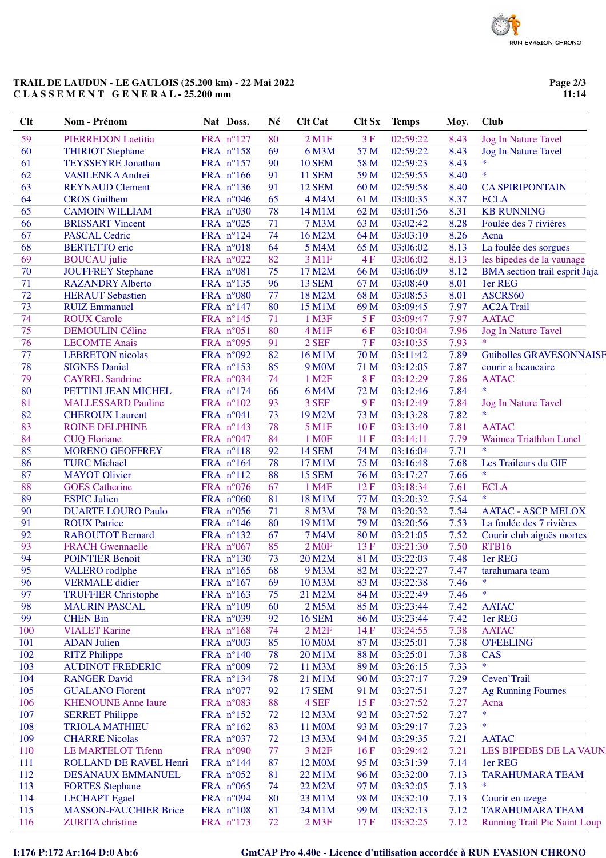# **TRAIL DE LAUDUN - LE GAULOIS (25.200 km) - 22 Mai 2022 C L A S S E M E N T G E N E R A L - 25.200 mm**

**Page 2/3 11:14**

| <b>Clt</b> | Nom - Prénom                 | Nat Doss.          | Né | <b>Clt Cat</b>         | <b>Clt Sx</b> | <b>Temps</b> | Moy. | <b>Club</b>                          |
|------------|------------------------------|--------------------|----|------------------------|---------------|--------------|------|--------------------------------------|
| 59         | PIERREDON Laetitia           | FRA n°127          | 80 | $2$ M1F                | 3F            | 02:59:22     | 8.43 | <b>Jog In Nature Tavel</b>           |
| 60         | <b>THIRIOT Stephane</b>      | FRA n°158          | 69 | 6 M3M                  | 57 M          | 02:59:22     | 8.43 | <b>Jog In Nature Tavel</b>           |
| 61         | <b>TEYSSEYRE Jonathan</b>    | FRA n°157          | 90 | <b>10 SEM</b>          | 58 M          | 02:59:23     | 8.43 | $\ast$                               |
| 62         | VASILENKA Andrei             | FRA n°166          | 91 | <b>11 SEM</b>          | 59 M          | 02:59:55     | 8.40 | $\ast$                               |
| 63         | <b>REYNAUD Clement</b>       | FRA n°136          | 91 | <b>12 SEM</b>          | 60 M          | 02:59:58     | 8.40 | <b>CA SPIRIPONTAIN</b>               |
| 64         | <b>CROS</b> Guilhem          | FRA n°046          | 65 | 4 M4M                  | 61 M          | 03:00:35     | 8.37 | <b>ECLA</b>                          |
| 65         | <b>CAMOIN WILLIAM</b>        | FRA n°030          | 78 | 14 M1M                 | 62 M          | 03:01:56     | 8.31 | <b>KB RUNNING</b>                    |
| 66         | <b>BRISSART Vincent</b>      | FRA n°025          | 71 | <b>7 M3M</b>           | 63 M          | 03:02:42     | 8.28 | Foulée des 7 rivières                |
| 67         | <b>PASCAL Cedric</b>         | FRA n°124          | 74 | 16 M2M                 | 64 M          | 03:03:10     | 8.26 | Acna                                 |
| 68         | <b>BERTETTO</b> eric         | FRA n°018          | 64 | 5 M4M                  | 65 M          | 03:06:02     | 8.13 | La foulée des sorgues                |
| 69         | <b>BOUCAU</b> julie          | FRA n°022          | 82 | 3 M1F                  | 4F            | 03:06:02     | 8.13 | les bipedes de la vaunage            |
| 70         | <b>JOUFFREY Stephane</b>     | FRA n°081          | 75 | 17 M2M                 | 66 M          | 03:06:09     | 8.12 | <b>BMA</b> section trail esprit Jaja |
| 71         | <b>RAZANDRY Alberto</b>      | FRA nº135          | 96 | 13 SEM                 | 67 M          | 03:08:40     | 8.01 | 1er REG                              |
| 72         | <b>HERAUT Sebastien</b>      | FRA n°080          | 77 | 18 M2M                 | 68 M          | 03:08:53     | 8.01 | ASCRS60                              |
| 73         | <b>RUIZ Emmanuel</b>         | FRA n°147          | 80 | 15 M1M                 | 69 M          | 03:09:45     | 7.97 | <b>AC2A Trail</b>                    |
| 74         | <b>ROUX Carole</b>           | FRA n°145          | 71 | $1$ M3F                | 5F            | 03:09:47     | 7.97 | <b>AATAC</b>                         |
| 75         | <b>DEMOULIN Céline</b>       | FRA n°051          | 80 | $4 \,\mathrm{M1F}$     | 6F            | 03:10:04     | 7.96 | <b>Jog In Nature Tavel</b>           |
| 76         | <b>LECOMTE Anais</b>         | FRA n°095          | 91 | 2 SEF                  | 7F            | 03:10:35     | 7.93 | $\ast$                               |
| 77         | <b>LEBRETON</b> nicolas      | FRA n°092          | 82 | 16 M1M                 | 70 M          | 03:11:42     | 7.89 | <b>Guibolles GRAVESONNAISE</b>       |
| 78         | <b>SIGNES Daniel</b>         | FRA nº153          | 85 | 9 M <sub>0</sub> M     | 71 M          | 03:12:05     | 7.87 | courir a beaucaire                   |
| 79         | <b>CAYREL Sandrine</b>       | FRA n°034          | 74 | 1 M <sub>2</sub> F     | <b>8F</b>     | 03:12:29     | 7.86 | <b>AATAC</b>                         |
| 80         | PETTINI JEAN MICHEL          | FRA n°174          | 66 | 6 M4M                  | 72 M          | 03:12:46     | 7.84 | $\ast$                               |
| 81         | <b>MALLESSARD Pauline</b>    | FRA n°102          | 93 | 3 SEF                  | 9F            | 03:12:49     | 7.84 | <b>Jog In Nature Tavel</b>           |
| 82         | <b>CHEROUX Laurent</b>       | FRA n°041          | 73 | 19 M2M                 | 73 M          | 03:13:28     | 7.82 | $\ast$                               |
| 83         | <b>ROINE DELPHINE</b>        | FRA nº143          | 78 |                        | 10F           | 03:13:40     | 7.81 | <b>AATAC</b>                         |
| 84         |                              |                    | 84 | 5 M1F                  | 11F           |              | 7.79 |                                      |
|            | <b>CUQ Floriane</b>          | FRA n°047          |    | 1 M <sub>OF</sub>      |               | 03:14:11     |      | Waimea Triathlon Lunel<br>$\ast$     |
| 85         | <b>MORENO GEOFFREY</b>       | FRA n°118          | 92 | <b>14 SEM</b>          | 74 M          | 03:16:04     | 7.71 |                                      |
| 86         | <b>TURC Michael</b>          | FRA n°164          | 78 | 17 M1M                 | 75 M          | 03:16:48     | 7.68 | Les Traileurs du GIF<br>$\ast$       |
| 87         | <b>MAYOT</b> Olivier         | FRA n°112          | 88 | 15 SEM                 | 76 M          | 03:17:27     | 7.66 |                                      |
| 88         | <b>GOES</b> Catherine        | FRA n°076          | 67 | 1 M4F                  | 12F           | 03:18:34     | 7.61 | <b>ECLA</b><br>$\ast$                |
| 89         | <b>ESPIC Julien</b>          | FRA n°060          | 81 | 18 M1M                 | 77 M          | 03:20:32     | 7.54 |                                      |
| 90         | <b>DUARTE LOURO Paulo</b>    | FRA n°056          | 71 | 8 M3M                  | 78 M          | 03:20:32     | 7.54 | <b>AATAC - ASCP MELOX</b>            |
| 91         | <b>ROUX Patrice</b>          | FRA nº146          | 80 | 19 M1M                 | 79 M          | 03:20:56     | 7.53 | La foulée des 7 rivières             |
| 92         | <b>RABOUTOT Bernard</b>      | FRA nº132          | 67 | 7 M4M                  | 80 M          | 03:21:05     | 7.52 | Courir club aiguës mortes            |
| 93         | <b>FRACH Gwennaelle</b>      | FRA n°067          | 85 | 2 M <sub>OF</sub>      | 13F           | 03:21:30     | 7.50 | <b>RTB16</b>                         |
| 94         | <b>POINTIER Benoit</b>       | FRA nº130          | 73 | 20 M2M                 | 81 M          | 03:22:03     | 7.48 | 1er REG                              |
| 95         | VALERO rodlphe               | FRA $n^{\circ}165$ | 68 | 9 M3M                  | 82 M          | 03:22:27     | 7.47 | tarahumara team                      |
| 96         | <b>VERMALE</b> didier        | FRA n°167          | 69 | 10 M3M                 | 83 M          | 03:22:38     | 7.46 | $\ast$                               |
| 97         | <b>TRUFFIER Christophe</b>   | FRA n°163          | 75 | 21 M2M                 | 84 M          | 03:22:49     | 7.46 | *                                    |
| 98         | <b>MAURIN PASCAL</b>         | FRA n°109          | 60 | 2 M5M                  | 85 M          | 03:23:44     | 7.42 | <b>AATAC</b>                         |
| 99         | <b>CHEN Bin</b>              | FRA n°039          | 92 | <b>16 SEM</b>          | 86 M          | 03:23:44     | 7.42 | 1er REG                              |
| 100        | <b>VIALET Karine</b>         | FRA n°168          | 74 | $2$ M <sub>2</sub> $F$ | 14F           | 03:24:55     | 7.38 | <b>AATAC</b>                         |
| 101        | <b>ADAN Julien</b>           | FRA n°003          | 85 | <b>10 M0M</b>          | 87 M          | 03:25:01     | 7.38 | <b>O'FEELING</b>                     |
| 102        | <b>RITZ</b> Philippe         | FRA n°140          | 78 | 20 M1M                 | 88 M          | 03:25:01     | 7.38 | <b>CAS</b>                           |
| 103        | <b>AUDINOT FREDERIC</b>      | FRA n°009          | 72 | 11 M3M                 | 89 M          | 03:26:15     | 7.33 | *                                    |
| 104        | <b>RANGER David</b>          | FRA n°134          | 78 | 21 M1M                 | 90 M          | 03:27:17     | 7.29 | Ceven'Trail                          |
| 105        | <b>GUALANO Florent</b>       | FRA n°077          | 92 | <b>17 SEM</b>          | 91 M          | 03:27:51     | 7.27 | <b>Ag Running Fournes</b>            |
| 106        | <b>KHENOUNE Anne laure</b>   | FRA n°083          | 88 | 4 SEF                  | 15F           | 03:27:52     | 7.27 | Acna                                 |
| 107        | <b>SERRET Philippe</b>       | FRA n°152          | 72 | 12 M3M                 | 92 M          | 03:27:52     | 7.27 | $\ast$                               |
| 108        | <b>TRIOLA MATHIEU</b>        | FRA n°162          | 83 | 11 M0M                 | 93 M          | 03:29:17     | 7.23 | $\ast$                               |
| 109        | <b>CHARRE Nicolas</b>        | FRA n°037          | 72 | 13 M3M                 | 94 M          | 03:29:35     | 7.21 | <b>AATAC</b>                         |
| 110        | <b>LE MARTELOT Tifenn</b>    | FRA n°090          | 77 | 3 M <sub>2</sub> F     | 16F           | 03:29:42     | 7.21 | LES BIPEDES DE LA VAUN               |
| <b>111</b> | ROLLAND DE RAVEL Henri       | FRA n°144          | 87 | 12 M0M                 | 95 M          | 03:31:39     | 7.14 | 1er REG                              |
| 112        | DESANAUX EMMANUEL            | FRA n°052          | 81 | 22 M1M                 | 96 M          | 03:32:00     | 7.13 | <b>TARAHUMARA TEAM</b>               |
| 113        | <b>FORTES</b> Stephane       | FRA n°065          | 74 | 22 M2M                 | 97 M          | 03:32:05     | 7.13 | $\ast$                               |
| 114        | <b>LECHAPT</b> Egael         | FRA n°094          | 80 | 23 M1M                 | 98 M          | 03:32:10     | 7.13 | Courir en uzege                      |
| 115        | <b>MASSON-FAUCHIER Brice</b> | FRA n°108          | 81 | 24 M1M                 | 99 M          | 03:32:13     | 7.12 | <b>TARAHUMARA TEAM</b>               |
| 116        | <b>ZURITA</b> christine      | FRA n°173          | 72 | $2$ M $3F$             | 17F           | 03:32:25     | 7.12 | <b>Running Trail Pic Saint Loup</b>  |
|            |                              |                    |    |                        |               |              |      |                                      |

### **I:176 P:172 Ar:164 D:0 Ab:6 GmCAP Pro 4.40e - Licence d'utilisation accordée à RUN EVASION CHRONO**